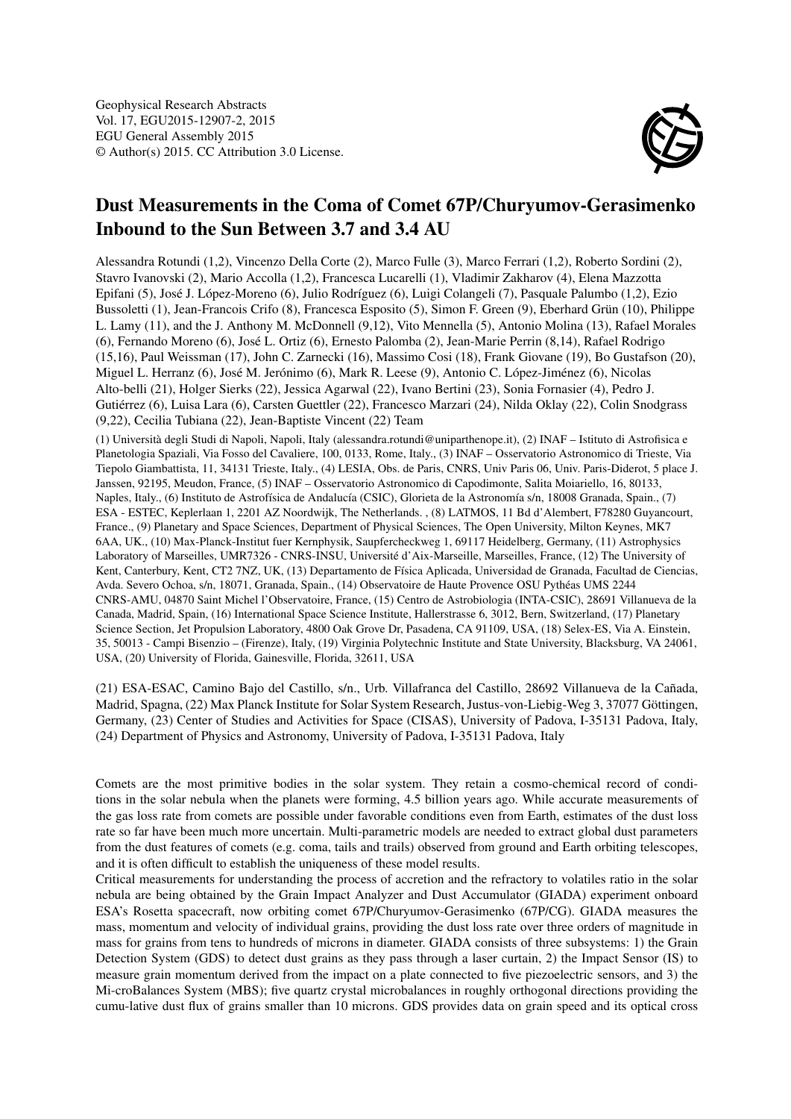

## Dust Measurements in the Coma of Comet 67P/Churyumov-Gerasimenko Inbound to the Sun Between 3.7 and 3.4 AU

Alessandra Rotundi (1,2), Vincenzo Della Corte (2), Marco Fulle (3), Marco Ferrari (1,2), Roberto Sordini (2), Stavro Ivanovski (2), Mario Accolla (1,2), Francesca Lucarelli (1), Vladimir Zakharov (4), Elena Mazzotta Epifani (5), José J. López-Moreno (6), Julio Rodríguez (6), Luigi Colangeli (7), Pasquale Palumbo (1,2), Ezio Bussoletti (1), Jean-Francois Crifo (8), Francesca Esposito (5), Simon F. Green (9), Eberhard Grün (10), Philippe L. Lamy (11), and the J. Anthony M. McDonnell (9,12), Vito Mennella (5), Antonio Molina (13), Rafael Morales (6), Fernando Moreno (6), José L. Ortiz (6), Ernesto Palomba (2), Jean-Marie Perrin (8,14), Rafael Rodrigo (15,16), Paul Weissman (17), John C. Zarnecki (16), Massimo Cosi (18), Frank Giovane (19), Bo Gustafson (20), Miguel L. Herranz (6), José M. Jerónimo (6), Mark R. Leese (9), Antonio C. López-Jiménez (6), Nicolas Alto-belli (21), Holger Sierks (22), Jessica Agarwal (22), Ivano Bertini (23), Sonia Fornasier (4), Pedro J. Gutiérrez (6), Luisa Lara (6), Carsten Guettler (22), Francesco Marzari (24), Nilda Oklay (22), Colin Snodgrass (9,22), Cecilia Tubiana (22), Jean-Baptiste Vincent (22) Team

(1) Università degli Studi di Napoli, Napoli, Italy (alessandra.rotundi@uniparthenope.it), (2) INAF – Istituto di Astrofisica e Planetologia Spaziali, Via Fosso del Cavaliere, 100, 0133, Rome, Italy., (3) INAF – Osservatorio Astronomico di Trieste, Via Tiepolo Giambattista, 11, 34131 Trieste, Italy., (4) LESIA, Obs. de Paris, CNRS, Univ Paris 06, Univ. Paris-Diderot, 5 place J. Janssen, 92195, Meudon, France, (5) INAF – Osservatorio Astronomico di Capodimonte, Salita Moiariello, 16, 80133, Naples, Italy., (6) Instituto de Astrofísica de Andalucía (CSIC), Glorieta de la Astronomía s/n, 18008 Granada, Spain., (7) ESA - ESTEC, Keplerlaan 1, 2201 AZ Noordwijk, The Netherlands. , (8) LATMOS, 11 Bd d'Alembert, F78280 Guyancourt, France., (9) Planetary and Space Sciences, Department of Physical Sciences, The Open University, Milton Keynes, MK7 6AA, UK., (10) Max-Planck-Institut fuer Kernphysik, Saupfercheckweg 1, 69117 Heidelberg, Germany, (11) Astrophysics Laboratory of Marseilles, UMR7326 - CNRS-INSU, Université d'Aix-Marseille, Marseilles, France, (12) The University of Kent, Canterbury, Kent, CT2 7NZ, UK, (13) Departamento de Física Aplicada, Universidad de Granada, Facultad de Ciencias, Avda. Severo Ochoa, s/n, 18071, Granada, Spain., (14) Observatoire de Haute Provence OSU Pythéas UMS 2244 CNRS-AMU, 04870 Saint Michel l'Observatoire, France, (15) Centro de Astrobiologia (INTA-CSIC), 28691 Villanueva de la Canada, Madrid, Spain, (16) International Space Science Institute, Hallerstrasse 6, 3012, Bern, Switzerland, (17) Planetary Science Section, Jet Propulsion Laboratory, 4800 Oak Grove Dr, Pasadena, CA 91109, USA, (18) Selex-ES, Via A. Einstein, 35, 50013 - Campi Bisenzio – (Firenze), Italy, (19) Virginia Polytechnic Institute and State University, Blacksburg, VA 24061, USA, (20) University of Florida, Gainesville, Florida, 32611, USA

(21) ESA-ESAC, Camino Bajo del Castillo, s/n., Urb. Villafranca del Castillo, 28692 Villanueva de la Cañada, Madrid, Spagna, (22) Max Planck Institute for Solar System Research, Justus-von-Liebig-Weg 3, 37077 Göttingen, Germany, (23) Center of Studies and Activities for Space (CISAS), University of Padova, I-35131 Padova, Italy, (24) Department of Physics and Astronomy, University of Padova, I-35131 Padova, Italy

Comets are the most primitive bodies in the solar system. They retain a cosmo-chemical record of conditions in the solar nebula when the planets were forming, 4.5 billion years ago. While accurate measurements of the gas loss rate from comets are possible under favorable conditions even from Earth, estimates of the dust loss rate so far have been much more uncertain. Multi-parametric models are needed to extract global dust parameters from the dust features of comets (e.g. coma, tails and trails) observed from ground and Earth orbiting telescopes, and it is often difficult to establish the uniqueness of these model results.

Critical measurements for understanding the process of accretion and the refractory to volatiles ratio in the solar nebula are being obtained by the Grain Impact Analyzer and Dust Accumulator (GIADA) experiment onboard ESA's Rosetta spacecraft, now orbiting comet 67P/Churyumov-Gerasimenko (67P/CG). GIADA measures the mass, momentum and velocity of individual grains, providing the dust loss rate over three orders of magnitude in mass for grains from tens to hundreds of microns in diameter. GIADA consists of three subsystems: 1) the Grain Detection System (GDS) to detect dust grains as they pass through a laser curtain, 2) the Impact Sensor (IS) to measure grain momentum derived from the impact on a plate connected to five piezoelectric sensors, and 3) the Mi-croBalances System (MBS); five quartz crystal microbalances in roughly orthogonal directions providing the cumu-lative dust flux of grains smaller than 10 microns. GDS provides data on grain speed and its optical cross